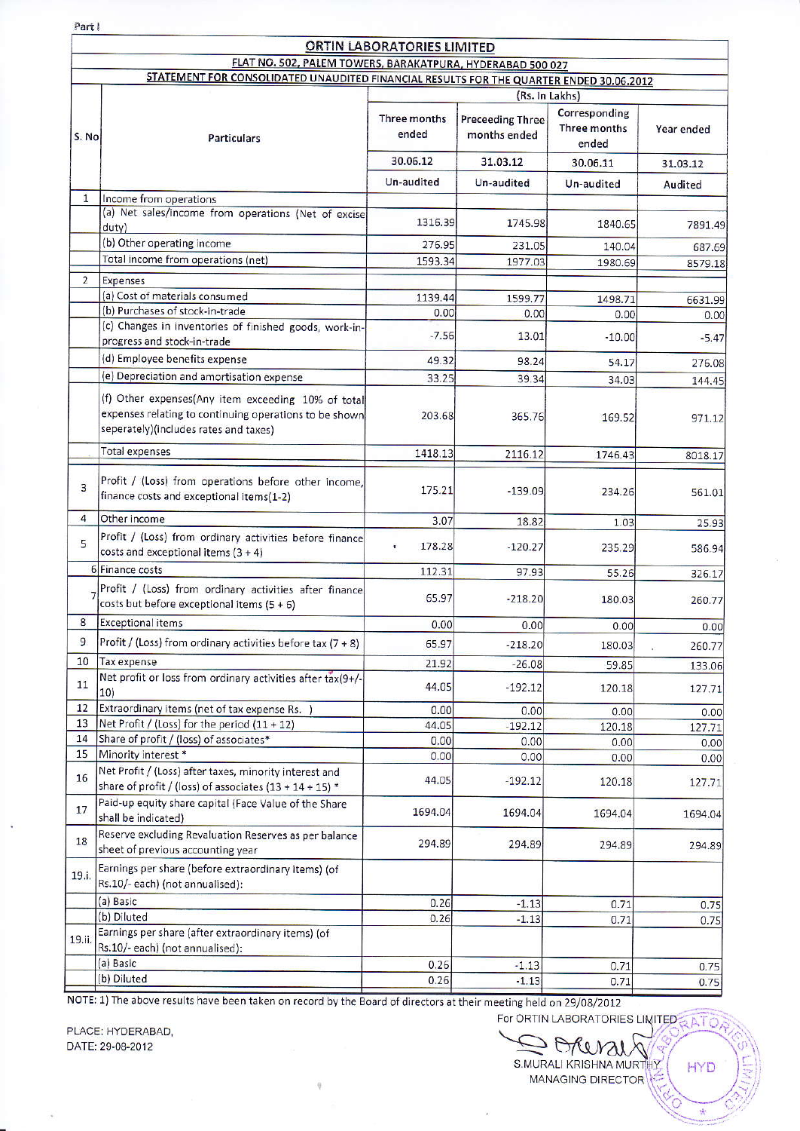Part I

1

## **ORTINI LARORATORIES LIMIT**

|                |                                                                                                                                                       | <b>URTIN LABORATORIES LIMITED</b>                                                       |                                         |                                        |            |  |
|----------------|-------------------------------------------------------------------------------------------------------------------------------------------------------|-----------------------------------------------------------------------------------------|-----------------------------------------|----------------------------------------|------------|--|
|                | FLAT NO. 502, PALEM TOWERS, BARAKATPURA, HYDERABAD 500 027                                                                                            |                                                                                         |                                         |                                        |            |  |
|                |                                                                                                                                                       | STATEMENT FOR CONSOLIDATED UNAUDITED FINANCIAL RESULTS FOR THE QUARTER ENDED 30.06.2012 |                                         |                                        |            |  |
|                |                                                                                                                                                       | (Rs. In Lakhs)                                                                          |                                         |                                        |            |  |
| S. No          | <b>Particulars</b>                                                                                                                                    | Three months<br>ended                                                                   | <b>Preceeding Three</b><br>months ended | Corresponding<br>Three months<br>ended | Year ended |  |
|                |                                                                                                                                                       | 30.06.12                                                                                | 31.03.12                                | 30.06.11                               | 31.03.12   |  |
|                |                                                                                                                                                       | Un-audited                                                                              | Un-audited                              | Un-audited                             | Audited    |  |
| $\mathbf{1}$   | Income from operations                                                                                                                                |                                                                                         |                                         |                                        |            |  |
|                | (a) Net sales/income from operations (Net of excise<br>duty)                                                                                          | 1316.39                                                                                 | 1745.98                                 | 1840.65                                | 7891.49    |  |
|                | (b) Other operating income                                                                                                                            | 276.95                                                                                  | 231.05                                  | 140.04                                 | 687.69     |  |
|                | Total income from operations (net)                                                                                                                    | 1593.34                                                                                 | 1977.03                                 | 1980.69                                | 8579.18    |  |
| $\overline{2}$ | Expenses                                                                                                                                              |                                                                                         |                                         |                                        |            |  |
|                | (a) Cost of materials consumed                                                                                                                        | 1139.44                                                                                 | 1599.77                                 | 1498.71                                | 6631.99    |  |
|                | (b) Purchases of stock-in-trade                                                                                                                       | 0.00                                                                                    | 0.00                                    | 0.00                                   | 0.00       |  |
|                | (c) Changes in inventories of finished goods, work-in-<br>progress and stock-in-trade                                                                 | $-7.56$                                                                                 | 13.01                                   | $-10.00$                               | $-5.47$    |  |
|                | (d) Employee benefits expense                                                                                                                         | 49.32                                                                                   | 98.24                                   | 54.17                                  | 276.08     |  |
|                | (e) Depreciation and amortisation expense                                                                                                             | 33.25                                                                                   | 39.34                                   | 34.03                                  |            |  |
|                |                                                                                                                                                       |                                                                                         |                                         |                                        | 144.45     |  |
|                | (f) Other expenses(Any item exceeding 10% of total<br>expenses relating to continuing operations to be shown<br>seperately)(includes rates and taxes) | 203.68                                                                                  | 365.76                                  | 169.52                                 | 971.12     |  |
|                | Total expenses                                                                                                                                        | 1418.13                                                                                 | 2116.12                                 | 1746.43                                | 8018.17    |  |
| 3              | Profit / (Loss) from operations before other income,<br>finance costs and exceptional items(1-2)                                                      | 175.21                                                                                  | $-139.09$                               | 234.26                                 | 561.01     |  |
| 4              | Other income                                                                                                                                          | 3.07                                                                                    | 18.82                                   | 1.03                                   | 25.93      |  |
| 5              | Profit / (Loss) from ordinary activities before finance<br>costs and exceptional items $(3 + 4)$                                                      | 178.28<br>Ŧ.                                                                            | $-120.27$                               | 235.29                                 | 586.94     |  |
|                | 6 Finance costs                                                                                                                                       | 112.31                                                                                  | 97.93                                   | 55.26                                  | 326.17     |  |
|                | Profit / (Loss) from ordinary activities after finance<br>costs but before exceptional items $(5 + 6)$                                                | 65.97                                                                                   | $-218.20$                               | 180.03                                 | 260.77     |  |
| 8              | <b>Exceptional items</b>                                                                                                                              | 0.00                                                                                    | 0.00                                    | 0.00                                   | 0.00       |  |
| 9              | Profit / (Loss) from ordinary activities before tax (7 + 8)                                                                                           | 65.97                                                                                   | $-218.20$                               | 180.03                                 | 260.77     |  |
| 10             | Tax expense                                                                                                                                           |                                                                                         |                                         |                                        |            |  |
|                | Net profit or loss from ordinary activities after tax(9+/-                                                                                            | 21.92                                                                                   | $-26.08$                                | 59.85                                  | 133.06     |  |
| 11             | 10)                                                                                                                                                   | 44.05                                                                                   | $-192.12$                               | 120.18                                 | 127.71     |  |
| 12             | Extraordinary items (net of tax expense Rs. )                                                                                                         | 0.00                                                                                    | 0.00                                    | 0.00                                   | 0.00       |  |
| 13             | Net Profit / (Loss) for the period (11 + 12)                                                                                                          | 44.05                                                                                   | $-192.12$                               | 120.18                                 | 127.71     |  |
| 14             | Share of profit / (loss) of associates*                                                                                                               | 0.00                                                                                    | 0.00                                    | 0.00                                   | 0.00       |  |
| 15             | Minority interest *                                                                                                                                   | 0.00                                                                                    | 0.00                                    | 0.00                                   | 0.00       |  |
| 16             | Net Profit / (Loss) after taxes, minority interest and<br>share of profit / (loss) of associates (13 + 14 + 15) *                                     | 44.05                                                                                   | $-192.12$                               | 120.18                                 | 127.71     |  |
| 17             | Paid-up equity share capital (Face Value of the Share<br>shall be indicated)                                                                          | 1694.04                                                                                 | 1694.04                                 | 1694.04                                | 1694.04    |  |
| 18             | Reserve excluding Revaluation Reserves as per balance<br>sheet of previous accounting year                                                            | 294.89                                                                                  | 294.89                                  | 294.89                                 | 294.89     |  |
| 19.i.          | Earnings per share (before extraordinary items) (of<br>Rs.10/- each) (not annualised):                                                                |                                                                                         |                                         |                                        |            |  |
|                | (a) Basic                                                                                                                                             | 0.26                                                                                    | $-1.13$                                 | 0.71                                   | 0.75       |  |
|                | (b) Diluted                                                                                                                                           | 0.26                                                                                    | $-1.13$                                 | 0.71                                   | 0.75       |  |
| 19.ii.         | Earnings per share (after extraordinary items) (of<br>Rs.10/- each) (not annualised):                                                                 |                                                                                         |                                         |                                        |            |  |
|                | (a) Basic                                                                                                                                             | 0.26                                                                                    | $-1.13$                                 | 0.71                                   | 0.75       |  |
|                | (b) Diluted                                                                                                                                           | 0.26                                                                                    | $-1.13$                                 | 0.71                                   | 0.75       |  |

NOTE: 1) The above results have been taken on record by the Board of directors at their meeting held on 29/08/2012 For ORTIN LABORATORIES LIMITED

PLACE: HYDERABAD, DATE: 29-08-2012

Sorenais S.MURALI KRISHNA MURTHY HYD MANAGING DIRECTOR

 $\frac{1}{2}$